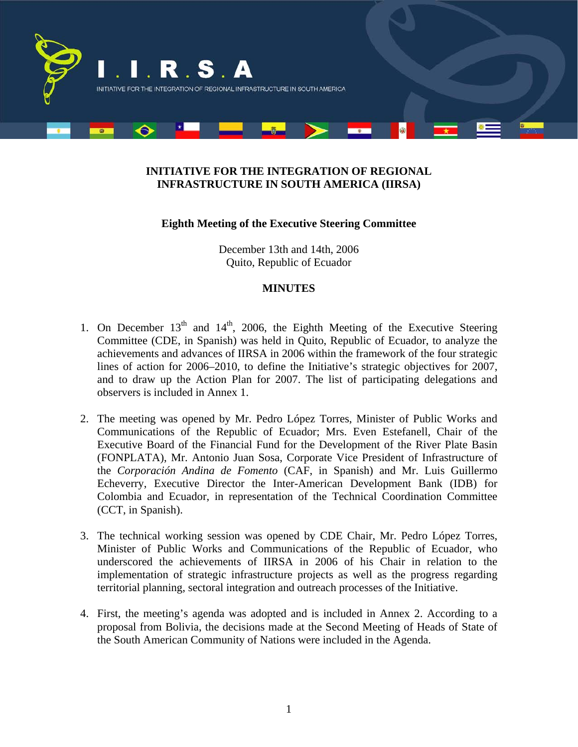

## **INITIATIVE FOR THE INTEGRATION OF REGIONAL INFRASTRUCTURE IN SOUTH AMERICA (IIRSA)**

## **Eighth Meeting of the Executive Steering Committee**

December 13th and 14th, 2006 Quito, Republic of Ecuador

## **MINUTES**

- 1. On December  $13<sup>th</sup>$  and  $14<sup>th</sup>$ , 2006, the Eighth Meeting of the Executive Steering Committee (CDE, in Spanish) was held in Quito, Republic of Ecuador, to analyze the achievements and advances of IIRSA in 2006 within the framework of the four strategic lines of action for 2006–2010, to define the Initiative's strategic objectives for 2007, and to draw up the Action Plan for 2007. The list of participating delegations and observers is included in Annex 1.
- 2. The meeting was opened by Mr. Pedro López Torres, Minister of Public Works and Communications of the Republic of Ecuador; Mrs. Even Estefanell, Chair of the Executive Board of the Financial Fund for the Development of the River Plate Basin (FONPLATA), Mr. Antonio Juan Sosa, Corporate Vice President of Infrastructure of the *Corporación Andina de Fomento* (CAF, in Spanish) and Mr. Luis Guillermo Echeverry, Executive Director the Inter-American Development Bank (IDB) for Colombia and Ecuador, in representation of the Technical Coordination Committee (CCT, in Spanish).
- 3. The technical working session was opened by CDE Chair, Mr. Pedro López Torres, Minister of Public Works and Communications of the Republic of Ecuador, who underscored the achievements of IIRSA in 2006 of his Chair in relation to the implementation of strategic infrastructure projects as well as the progress regarding territorial planning, sectoral integration and outreach processes of the Initiative.
- 4. First, the meeting's agenda was adopted and is included in Annex 2. According to a proposal from Bolivia, the decisions made at the Second Meeting of Heads of State of the South American Community of Nations were included in the Agenda.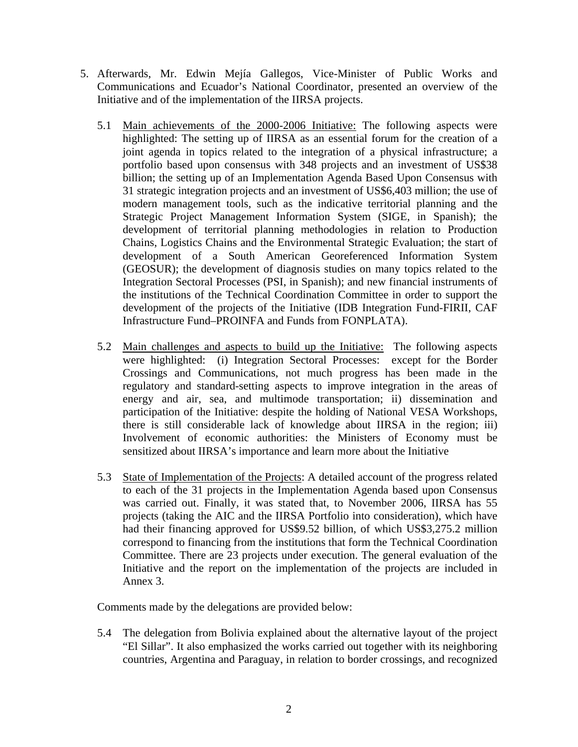- 5. Afterwards, Mr. Edwin Mejía Gallegos, Vice-Minister of Public Works and Communications and Ecuador's National Coordinator, presented an overview of the Initiative and of the implementation of the IIRSA projects.
	- 5.1 Main achievements of the 2000-2006 Initiative: The following aspects were highlighted: The setting up of IIRSA as an essential forum for the creation of a joint agenda in topics related to the integration of a physical infrastructure; a portfolio based upon consensus with 348 projects and an investment of US\$38 billion; the setting up of an Implementation Agenda Based Upon Consensus with 31 strategic integration projects and an investment of US\$6,403 million; the use of modern management tools, such as the indicative territorial planning and the Strategic Project Management Information System (SIGE, in Spanish); the development of territorial planning methodologies in relation to Production Chains, Logistics Chains and the Environmental Strategic Evaluation; the start of development of a South American Georeferenced Information System (GEOSUR); the development of diagnosis studies on many topics related to the Integration Sectoral Processes (PSI, in Spanish); and new financial instruments of the institutions of the Technical Coordination Committee in order to support the development of the projects of the Initiative (IDB Integration Fund-FIRII, CAF Infrastructure Fund–PROINFA and Funds from FONPLATA).
	- 5.2 Main challenges and aspects to build up the Initiative: The following aspects were highlighted: (i) Integration Sectoral Processes: except for the Border Crossings and Communications, not much progress has been made in the regulatory and standard-setting aspects to improve integration in the areas of energy and air, sea, and multimode transportation; ii) dissemination and participation of the Initiative: despite the holding of National VESA Workshops, there is still considerable lack of knowledge about IIRSA in the region; iii) Involvement of economic authorities: the Ministers of Economy must be sensitized about IIRSA's importance and learn more about the Initiative
	- 5.3 State of Implementation of the Projects: A detailed account of the progress related to each of the 31 projects in the Implementation Agenda based upon Consensus was carried out. Finally, it was stated that, to November 2006, IIRSA has 55 projects (taking the AIC and the IIRSA Portfolio into consideration), which have had their financing approved for US\$9.52 billion, of which US\$3,275.2 million correspond to financing from the institutions that form the Technical Coordination Committee. There are 23 projects under execution. The general evaluation of the Initiative and the report on the implementation of the projects are included in Annex 3.

Comments made by the delegations are provided below:

5.4 The delegation from Bolivia explained about the alternative layout of the project "El Sillar". It also emphasized the works carried out together with its neighboring countries, Argentina and Paraguay, in relation to border crossings, and recognized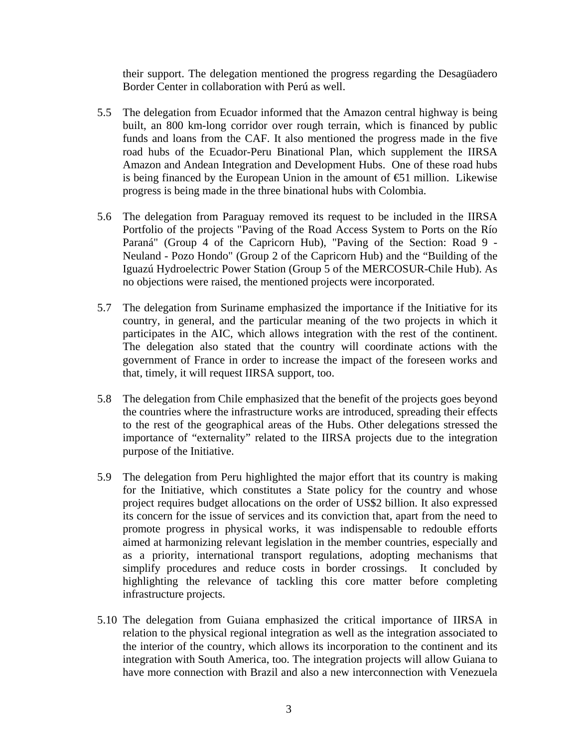their support. The delegation mentioned the progress regarding the Desagüadero Border Center in collaboration with Perú as well.

- 5.5 The delegation from Ecuador informed that the Amazon central highway is being built, an 800 km-long corridor over rough terrain, which is financed by public funds and loans from the CAF. It also mentioned the progress made in the five road hubs of the Ecuador-Peru Binational Plan, which supplement the IIRSA Amazon and Andean Integration and Development Hubs. One of these road hubs is being financed by the European Union in the amount of  $\epsilon$  1 million. Likewise progress is being made in the three binational hubs with Colombia.
- 5.6 The delegation from Paraguay removed its request to be included in the IIRSA Portfolio of the projects "Paving of the Road Access System to Ports on the Río Paraná" (Group 4 of the Capricorn Hub), "Paving of the Section: Road 9 - Neuland - Pozo Hondo" (Group 2 of the Capricorn Hub) and the "Building of the Iguazú Hydroelectric Power Station (Group 5 of the MERCOSUR-Chile Hub). As no objections were raised, the mentioned projects were incorporated.
- 5.7 The delegation from Suriname emphasized the importance if the Initiative for its country, in general, and the particular meaning of the two projects in which it participates in the AIC, which allows integration with the rest of the continent. The delegation also stated that the country will coordinate actions with the government of France in order to increase the impact of the foreseen works and that, timely, it will request IIRSA support, too.
- 5.8 The delegation from Chile emphasized that the benefit of the projects goes beyond the countries where the infrastructure works are introduced, spreading their effects to the rest of the geographical areas of the Hubs. Other delegations stressed the importance of "externality" related to the IIRSA projects due to the integration purpose of the Initiative.
- 5.9 The delegation from Peru highlighted the major effort that its country is making for the Initiative, which constitutes a State policy for the country and whose project requires budget allocations on the order of US\$2 billion. It also expressed its concern for the issue of services and its conviction that, apart from the need to promote progress in physical works, it was indispensable to redouble efforts aimed at harmonizing relevant legislation in the member countries, especially and as a priority, international transport regulations, adopting mechanisms that simplify procedures and reduce costs in border crossings. It concluded by highlighting the relevance of tackling this core matter before completing infrastructure projects.
- 5.10 The delegation from Guiana emphasized the critical importance of IIRSA in relation to the physical regional integration as well as the integration associated to the interior of the country, which allows its incorporation to the continent and its integration with South America, too. The integration projects will allow Guiana to have more connection with Brazil and also a new interconnection with Venezuela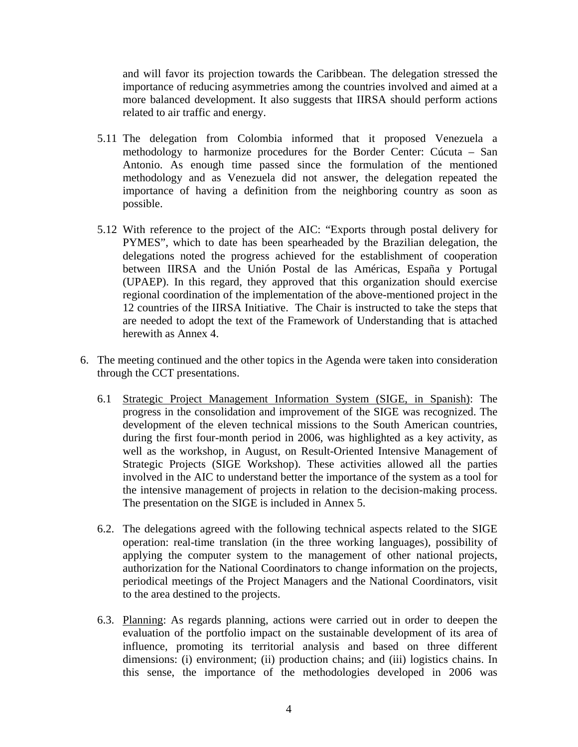and will favor its projection towards the Caribbean. The delegation stressed the importance of reducing asymmetries among the countries involved and aimed at a more balanced development. It also suggests that IIRSA should perform actions related to air traffic and energy.

- 5.11 The delegation from Colombia informed that it proposed Venezuela a methodology to harmonize procedures for the Border Center: Cúcuta – San Antonio. As enough time passed since the formulation of the mentioned methodology and as Venezuela did not answer, the delegation repeated the importance of having a definition from the neighboring country as soon as possible.
- 5.12 With reference to the project of the AIC: "Exports through postal delivery for PYMES", which to date has been spearheaded by the Brazilian delegation, the delegations noted the progress achieved for the establishment of cooperation between IIRSA and the Unión Postal de las Américas, España y Portugal (UPAEP). In this regard, they approved that this organization should exercise regional coordination of the implementation of the above-mentioned project in the 12 countries of the IIRSA Initiative. The Chair is instructed to take the steps that are needed to adopt the text of the Framework of Understanding that is attached herewith as Annex 4.
- 6. The meeting continued and the other topics in the Agenda were taken into consideration through the CCT presentations.
	- 6.1 Strategic Project Management Information System (SIGE, in Spanish): The progress in the consolidation and improvement of the SIGE was recognized. The development of the eleven technical missions to the South American countries, during the first four-month period in 2006, was highlighted as a key activity, as well as the workshop, in August, on Result-Oriented Intensive Management of Strategic Projects (SIGE Workshop). These activities allowed all the parties involved in the AIC to understand better the importance of the system as a tool for the intensive management of projects in relation to the decision-making process. The presentation on the SIGE is included in Annex 5.
	- 6.2. The delegations agreed with the following technical aspects related to the SIGE operation: real-time translation (in the three working languages), possibility of applying the computer system to the management of other national projects, authorization for the National Coordinators to change information on the projects, periodical meetings of the Project Managers and the National Coordinators, visit to the area destined to the projects.
	- 6.3. Planning: As regards planning, actions were carried out in order to deepen the evaluation of the portfolio impact on the sustainable development of its area of influence, promoting its territorial analysis and based on three different dimensions: (i) environment; (ii) production chains; and (iii) logistics chains. In this sense, the importance of the methodologies developed in 2006 was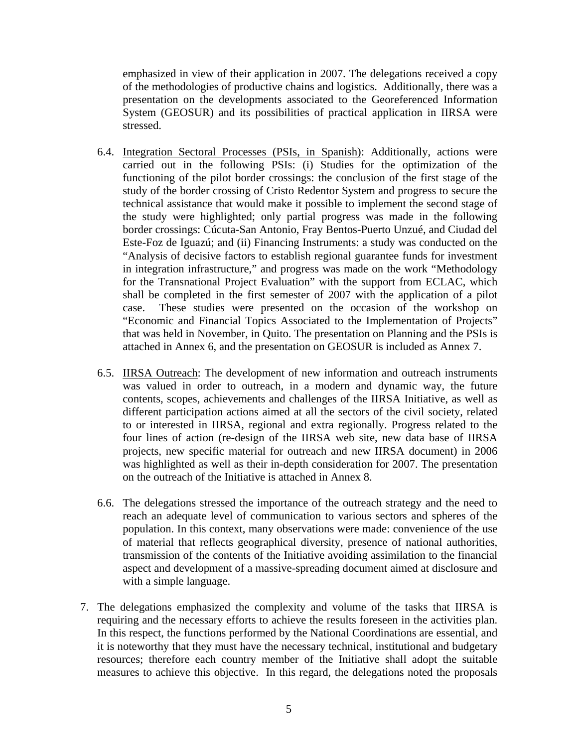emphasized in view of their application in 2007. The delegations received a copy of the methodologies of productive chains and logistics. Additionally, there was a presentation on the developments associated to the Georeferenced Information System (GEOSUR) and its possibilities of practical application in IIRSA were stressed.

- 6.4. Integration Sectoral Processes (PSIs, in Spanish): Additionally, actions were carried out in the following PSIs: (i) Studies for the optimization of the functioning of the pilot border crossings: the conclusion of the first stage of the study of the border crossing of Cristo Redentor System and progress to secure the technical assistance that would make it possible to implement the second stage of the study were highlighted; only partial progress was made in the following border crossings: Cúcuta-San Antonio, Fray Bentos-Puerto Unzué, and Ciudad del Este-Foz de Iguazú; and (ii) Financing Instruments: a study was conducted on the "Analysis of decisive factors to establish regional guarantee funds for investment in integration infrastructure," and progress was made on the work "Methodology for the Transnational Project Evaluation" with the support from ECLAC, which shall be completed in the first semester of 2007 with the application of a pilot case. These studies were presented on the occasion of the workshop on "Economic and Financial Topics Associated to the Implementation of Projects" that was held in November, in Quito. The presentation on Planning and the PSIs is attached in Annex 6, and the presentation on GEOSUR is included as Annex 7.
- 6.5. IIRSA Outreach: The development of new information and outreach instruments was valued in order to outreach, in a modern and dynamic way, the future contents, scopes, achievements and challenges of the IIRSA Initiative, as well as different participation actions aimed at all the sectors of the civil society, related to or interested in IIRSA, regional and extra regionally. Progress related to the four lines of action (re-design of the IIRSA web site, new data base of IIRSA projects, new specific material for outreach and new IIRSA document) in 2006 was highlighted as well as their in-depth consideration for 2007. The presentation on the outreach of the Initiative is attached in Annex 8.
- 6.6. The delegations stressed the importance of the outreach strategy and the need to reach an adequate level of communication to various sectors and spheres of the population. In this context, many observations were made: convenience of the use of material that reflects geographical diversity, presence of national authorities, transmission of the contents of the Initiative avoiding assimilation to the financial aspect and development of a massive-spreading document aimed at disclosure and with a simple language.
- 7. The delegations emphasized the complexity and volume of the tasks that IIRSA is requiring and the necessary efforts to achieve the results foreseen in the activities plan. In this respect, the functions performed by the National Coordinations are essential, and it is noteworthy that they must have the necessary technical, institutional and budgetary resources; therefore each country member of the Initiative shall adopt the suitable measures to achieve this objective. In this regard, the delegations noted the proposals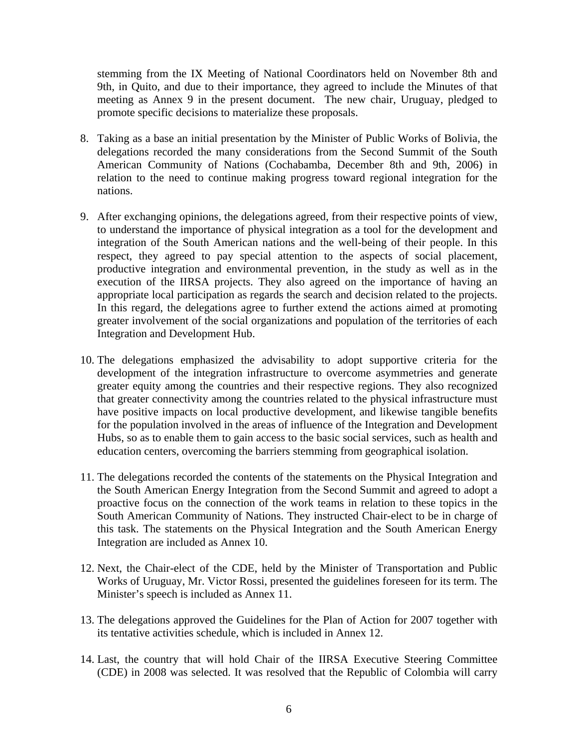stemming from the IX Meeting of National Coordinators held on November 8th and 9th, in Quito, and due to their importance, they agreed to include the Minutes of that meeting as Annex 9 in the present document. The new chair, Uruguay, pledged to promote specific decisions to materialize these proposals.

- 8. Taking as a base an initial presentation by the Minister of Public Works of Bolivia, the delegations recorded the many considerations from the Second Summit of the South American Community of Nations (Cochabamba, December 8th and 9th, 2006) in relation to the need to continue making progress toward regional integration for the nations.
- 9. After exchanging opinions, the delegations agreed, from their respective points of view, to understand the importance of physical integration as a tool for the development and integration of the South American nations and the well-being of their people. In this respect, they agreed to pay special attention to the aspects of social placement, productive integration and environmental prevention, in the study as well as in the execution of the IIRSA projects. They also agreed on the importance of having an appropriate local participation as regards the search and decision related to the projects. In this regard, the delegations agree to further extend the actions aimed at promoting greater involvement of the social organizations and population of the territories of each Integration and Development Hub.
- 10. The delegations emphasized the advisability to adopt supportive criteria for the development of the integration infrastructure to overcome asymmetries and generate greater equity among the countries and their respective regions. They also recognized that greater connectivity among the countries related to the physical infrastructure must have positive impacts on local productive development, and likewise tangible benefits for the population involved in the areas of influence of the Integration and Development Hubs, so as to enable them to gain access to the basic social services, such as health and education centers, overcoming the barriers stemming from geographical isolation.
- 11. The delegations recorded the contents of the statements on the Physical Integration and the South American Energy Integration from the Second Summit and agreed to adopt a proactive focus on the connection of the work teams in relation to these topics in the South American Community of Nations. They instructed Chair-elect to be in charge of this task. The statements on the Physical Integration and the South American Energy Integration are included as Annex 10.
- 12. Next, the Chair-elect of the CDE, held by the Minister of Transportation and Public Works of Uruguay, Mr. Victor Rossi, presented the guidelines foreseen for its term. The Minister's speech is included as Annex 11.
- 13. The delegations approved the Guidelines for the Plan of Action for 2007 together with its tentative activities schedule, which is included in Annex 12.
- 14. Last, the country that will hold Chair of the IIRSA Executive Steering Committee (CDE) in 2008 was selected. It was resolved that the Republic of Colombia will carry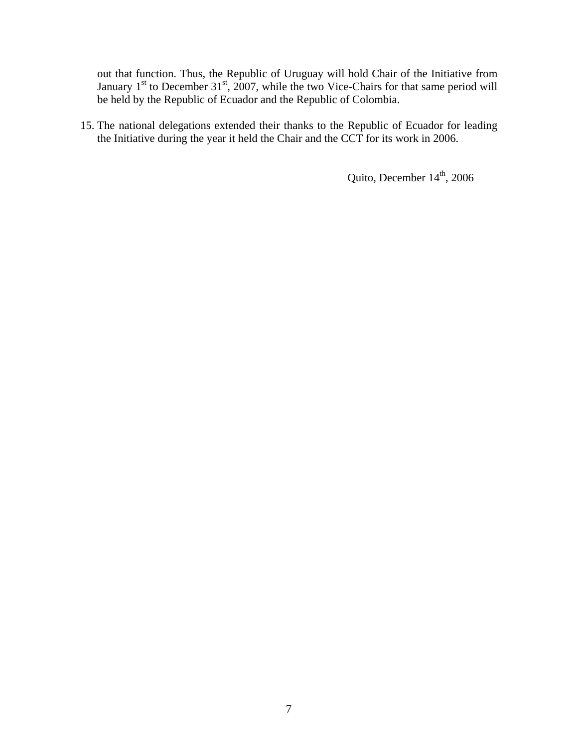out that function. Thus, the Republic of Uruguay will hold Chair of the Initiative from January  $1<sup>st</sup>$  to December 31<sup>st</sup>, 2007, while the two Vice-Chairs for that same period will be held by the Republic of Ecuador and the Republic of Colombia.

15. The national delegations extended their thanks to the Republic of Ecuador for leading the Initiative during the year it held the Chair and the CCT for its work in 2006.

Quito, December  $14<sup>th</sup>$ , 2006